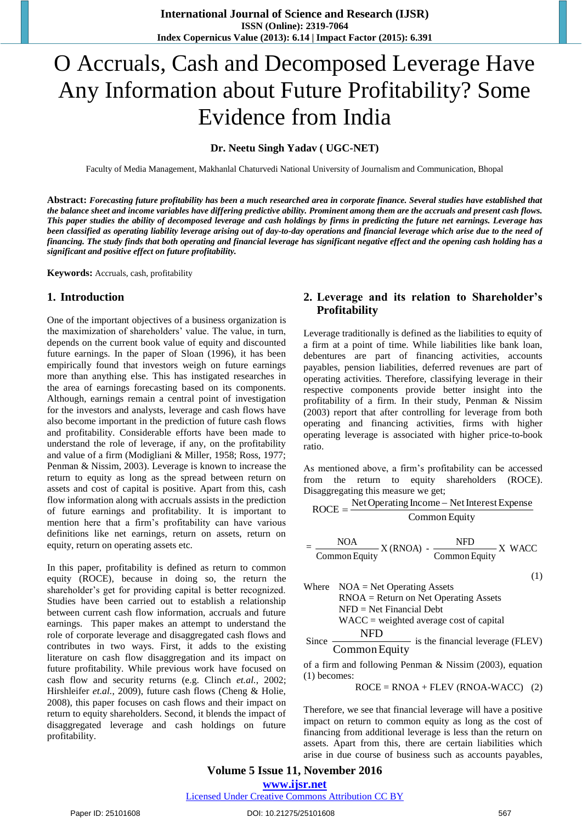# O Accruals, Cash and Decomposed Leverage Have Any Information about Future Profitability? Some Evidence from India

#### **Dr. Neetu Singh Yadav ( UGC-NET)**

Faculty of Media Management, Makhanlal Chaturvedi National University of Journalism and Communication, Bhopal

**Abstract:** *Forecasting future profitability has been a much researched area in corporate finance. Several studies have established that the balance sheet and income variables have differing predictive ability. Prominent among them are the accruals and present cash flows. This paper studies the ability of decomposed leverage and cash holdings by firms in predicting the future net earnings. Leverage has been classified as operating liability leverage arising out of day-to-day operations and financial leverage which arise due to the need of financing. The study finds that both operating and financial leverage has significant negative effect and the opening cash holding has a significant and positive effect on future profitability.* 

**Keywords:** Accruals, cash, profitability

#### **1. Introduction**

One of the important objectives of a business organization is the maximization of shareholders' value. The value, in turn, depends on the current book value of equity and discounted future earnings. In the paper of Sloan (1996), it has been empirically found that investors weigh on future earnings more than anything else. This has instigated researches in the area of earnings forecasting based on its components. Although, earnings remain a central point of investigation for the investors and analysts, leverage and cash flows have also become important in the prediction of future cash flows and profitability. Considerable efforts have been made to understand the role of leverage, if any, on the profitability and value of a firm (Modigliani & Miller, 1958; Ross, 1977; Penman & Nissim, 2003). Leverage is known to increase the return to equity as long as the spread between return on assets and cost of capital is positive. Apart from this, cash flow information along with accruals assists in the prediction of future earnings and profitability. It is important to mention here that a firm's profitability can have various definitions like net earnings, return on assets, return on equity, return on operating assets etc.

In this paper, profitability is defined as return to common equity (ROCE), because in doing so, the return the shareholder's get for providing capital is better recognized. Studies have been carried out to establish a relationship between current cash flow information, accruals and future earnings. This paper makes an attempt to understand the role of corporate leverage and disaggregated cash flows and contributes in two ways. First, it adds to the existing literature on cash flow disaggregation and its impact on future profitability. While previous work have focused on cash flow and security returns (e.g. Clinch *et.al.*, 2002; Hirshleifer *et.al.*, 2009), future cash flows (Cheng & Holie, 2008), this paper focuses on cash flows and their impact on return to equity shareholders. Second, it blends the impact of disaggregated leverage and cash holdings on future profitability.

## **2. Leverage and its relation to Shareholder's Profitability**

Leverage traditionally is defined as the liabilities to equity of a firm at a point of time. While liabilities like bank loan, debentures are part of financing activities, accounts payables, pension liabilities, deferred revenues are part of operating activities. Therefore, classifying leverage in their respective components provide better insight into the profitability of a firm. In their study, Penman & Nissim (2003) report that after controlling for leverage from both operating and financing activities, firms with higher operating leverage is associated with higher price-to-book ratio.

As mentioned above, a firm's profitability can be accessed from the return to equity shareholders (ROCE). Disaggregating this measure we get;

$$
ROCE = \frac{Net Operating Income - Net Interest Expression}{Common Equity}
$$

$$
= \frac{\text{NOA}}{\text{Common Equity}} \text{X (RNOA)} - \frac{\text{NFD}}{\text{Common Equity}} \text{X WACC}
$$

$$
\left( 1\right)
$$

Where 
$$
NOA = Net Operating Assets
$$

\n $RNOA = Return on Net Operating Assets$ 

\n $NFD = Net Financial Debt$ 

\n $WACC = weighted average cost of capital$ 

\nSince  $\frac{NFD}{Common Equity}$  is the financial leverage (FLEV)

of a firm and following Penman & Nissim (2003), equation (1) becomes:

 $ROCE = RNOA + FLEV (RNOA-WACC)$  (2)

Therefore, we see that financial leverage will have a positive impact on return to common equity as long as the cost of financing from additional leverage is less than the return on assets. Apart from this, there are certain liabilities which arise in due course of business such as accounts payables,

## **Volume 5 Issue 11, November 2016 www.ijsr.net**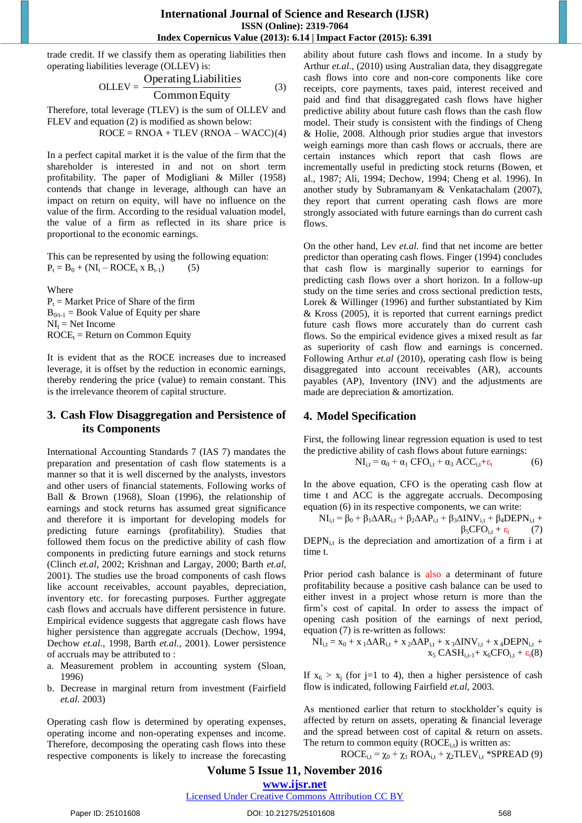trade credit. If we classify them as operating liabilities then operating liabilities leverage (OLLEV) is:

$$
OLLEV = \frac{Operating Liabilities}{Common Equity} \tag{3}
$$

Therefore, total leverage (TLEV) is the sum of OLLEV and FLEV and equation (2) is modified as shown below:

 $ROCE = RNOA + TLEV (RNOA - WACC)(4)$ 

In a perfect capital market it is the value of the firm that the shareholder is interested in and not on short term profitability. The paper of Modigliani & Miller (1958) contends that change in leverage, although can have an impact on return on equity, will have no influence on the value of the firm. According to the residual valuation model, the value of a firm as reflected in its share price is proportional to the economic earnings.

This can be represented by using the following equation:  $P_t = B_0 + (NI_t - ROCE_t \times B_{t-1})$  (5)

Where  $P_t$  = Market Price of Share of the firm  $B_{0/t-1} = Book Value of Equity per share$  $NI_t = Net$  Income  $ROCE_t = Return$  on Common Equity

It is evident that as the ROCE increases due to increased leverage, it is offset by the reduction in economic earnings, thereby rendering the price (value) to remain constant. This is the irrelevance theorem of capital structure.

## **3. Cash Flow Disaggregation and Persistence of its Components**

International Accounting Standards 7 (IAS 7) mandates the preparation and presentation of cash flow statements is a manner so that it is well discerned by the analysts, investors and other users of financial statements. Following works of Ball & Brown (1968), Sloan (1996), the relationship of earnings and stock returns has assumed great significance and therefore it is important for developing models for predicting future earnings (profitability). Studies that followed them focus on the predictive ability of cash flow components in predicting future earnings and stock returns (Clinch *et.al*, 2002; Krishnan and Largay, 2000; Barth *et.al*, 2001). The studies use the broad components of cash flows like account receivables, account payables, depreciation, inventory etc. for forecasting purposes. Further aggregate cash flows and accruals have different persistence in future. Empirical evidence suggests that aggregate cash flows have higher persistence than aggregate accruals (Dechow, 1994, Dechow *et.al.*, 1998, Barth *et.al.*, 2001). Lower persistence of accruals may be attributed to :

- a. Measurement problem in accounting system (Sloan, 1996)
- b. Decrease in marginal return from investment (Fairfield *et.al.* 2003)

Operating cash flow is determined by operating expenses, operating income and non-operating expenses and income. Therefore, decomposing the operating cash flows into these respective components is likely to increase the forecasting

ability about future cash flows and income. In a study by Arthur *et.al.*, (2010) using Australian data, they disaggregate cash flows into core and non-core components like core receipts, core payments, taxes paid, interest received and paid and find that disaggregated cash flows have higher predictive ability about future cash flows than the cash flow model. Their study is consistent with the findings of Cheng & Holie, 2008. Although prior studies argue that investors weigh earnings more than cash flows or accruals, there are certain instances which report that cash flows are incrementally useful in predicting stock returns (Bowen, et al., 1987; Ali, 1994; Dechow, 1994; Cheng et al. 1996). In another study by Subramanyam & Venkatachalam (2007), they report that current operating cash flows are more strongly associated with future earnings than do current cash flows.

On the other hand, Lev *et.al.* find that net income are better predictor than operating cash flows. Finger (1994) concludes that cash flow is marginally superior to earnings for predicting cash flows over a short horizon. In a follow-up study on the time series and cross sectional prediction tests, Lorek & Willinger (1996) and further substantiated by Kim & Kross (2005), it is reported that current earnings predict future cash flows more accurately than do current cash flows. So the empirical evidence gives a mixed result as far as superiority of cash flow and earnings is concerned. Following Arthur *et.al* (2010), operating cash flow is being disaggregated into account receivables (AR), accounts payables (AP), Inventory (INV) and the adjustments are made are depreciation & amortization.

# **4. Model Specification**

First, the following linear regression equation is used to test the predictive ability of cash flows about future earnings:

$$
NI_{i,t} = \alpha_0 + \alpha_1 \, CFO_{i,t} + \alpha_3 \, ACC_{i,t} + \varepsilon_t \tag{6}
$$

In the above equation, CFO is the operating cash flow at time t and ACC is the aggregate accruals. Decomposing equation (6) in its respective components, we can write:

$$
NI_{i,t} = \beta_0 + \beta_1 \Delta AR_{i,t} + \beta_2 \Delta AP_{i,t} + \beta_3 \Delta INV_{i,t} + \beta_4 DEPN_{i,t} + \beta_5 CFO_{i,t} + \varepsilon_t \tag{7}
$$

 $DEPN<sub>i,t</sub>$  is the depreciation and amortization of a firm i at time t.

Prior period cash balance is also a determinant of future profitability because a positive cash balance can be used to either invest in a project whose return is more than the firm's cost of capital. In order to assess the impact of opening cash position of the earnings of next period, equation (7) is re-written as follows:

$$
NI_{i,t} = x_0 + x_1 \Delta AR_{i,t} + x_2 \Delta AP_{i,t} + x_3 \Delta INV_{i,t} + x_4 DEPN_{i,t} + x_5 CASH_{i,t-1} + x_6 CFO_{i,t} + \epsilon_t(8)
$$

If  $x_6 > x_i$  (for j=1 to 4), then a higher persistence of cash flow is indicated, following Fairfield *et.al*, 2003.

As mentioned earlier that return to stockholder's equity is affected by return on assets, operating & financial leverage and the spread between cost of capital & return on assets. The return to common equity  $(ROCE_{i,t})$  is written as:

 $ROCE_{i,t} = \chi_0 + \chi_1 ROA_{i,t} + \chi_2 TLEV_{i,t}$  \*SPREAD (9)

# **Volume 5 Issue 11, November 2016 www.ijsr.net**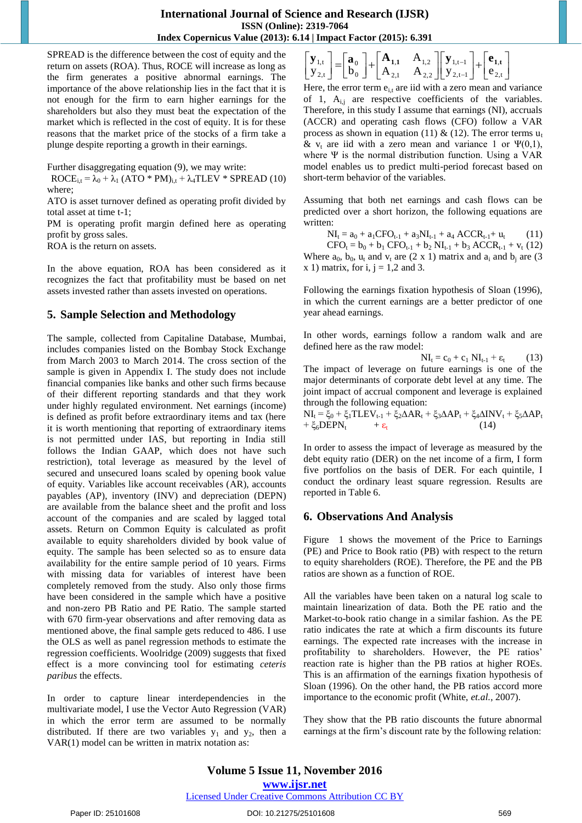$\overline{\phantom{a}}$ 

SPREAD is the difference between the cost of equity and the return on assets (ROA). Thus, ROCE will increase as long as the firm generates a positive abnormal earnings. The importance of the above relationship lies in the fact that it is not enough for the firm to earn higher earnings for the shareholders but also they must beat the expectation of the market which is reflected in the cost of equity. It is for these reasons that the market price of the stocks of a firm take a plunge despite reporting a growth in their earnings.

Further disaggregating equation (9), we may write:

 $ROCE_{i,t} = \lambda_0 + \lambda_1 (ATO * PM)_{i,t} + \lambda_4 TLEV * SPREAD (10)$ where;

ATO is asset turnover defined as operating profit divided by total asset at time t-1;

PM is operating profit margin defined here as operating profit by gross sales.

ROA is the return on assets.

In the above equation, ROA has been considered as it recognizes the fact that profitability must be based on net assets invested rather than assets invested on operations.

## **5. Sample Selection and Methodology**

The sample, collected from Capitaline Database, Mumbai, includes companies listed on the Bombay Stock Exchange from March 2003 to March 2014. The cross section of the sample is given in Appendix I. The study does not include financial companies like banks and other such firms because of their different reporting standards and that they work under highly regulated environment. Net earnings (income) is defined as profit before extraordinary items and tax (here it is worth mentioning that reporting of extraordinary items is not permitted under IAS, but reporting in India still follows the Indian GAAP, which does not have such restriction), total leverage as measured by the level of secured and unsecured loans scaled by opening book value of equity. Variables like account receivables (AR), accounts payables (AP), inventory (INV) and depreciation (DEPN) are available from the balance sheet and the profit and loss account of the companies and are scaled by lagged total assets. Return on Common Equity is calculated as profit available to equity shareholders divided by book value of equity. The sample has been selected so as to ensure data availability for the entire sample period of 10 years. Firms with missing data for variables of interest have been completely removed from the study. Also only those firms have been considered in the sample which have a positive and non-zero PB Ratio and PE Ratio. The sample started with 670 firm-year observations and after removing data as mentioned above, the final sample gets reduced to 486. I use the OLS as well as panel regression methods to estimate the regression coefficients. Woolridge (2009) suggests that fixed effect is a more convincing tool for estimating *ceteris paribus* the effects.

In order to capture linear interdependencies in the multivariate model, I use the Vector Auto Regression (VAR) in which the error term are assumed to be normally distributed. If there are two variables  $y_1$  and  $y_2$ , then a VAR(1) model can be written in matrix notation as:

 $\begin{bmatrix} \mathbf{y}_{1,t-1} \\ y_{2,t-1} \end{bmatrix} + \begin{bmatrix} \mathbf{e}_{1,t} \\ \mathbf{e}_{2,t} \end{bmatrix}$  $\mathbf{r}$  $\begin{bmatrix} \mathbf{y}_{1,t} \\ \mathbf{y}_{2,t} \end{bmatrix} = \begin{bmatrix} \mathbf{a}_0 \\ \mathbf{b}_0 \end{bmatrix} + \begin{bmatrix} \mathbf{A}_{1,1} & \mathbf{A}_{1,2} \\ \mathbf{A}_{2,1} & \mathbf{A}_{2,2} \end{bmatrix}$  $\overline{a}$ Ĭ.  $2, t$ ,  $2,t-1$  $1,t-1$ 2,1  $\qquad \qquad$  2,2  $1,1$   $\Gamma_{1,2}$ 0 0  $2, t$  $\begin{bmatrix} 1,1 \ 2,1 \end{bmatrix} = \begin{bmatrix} a_0 \\ b_0 \end{bmatrix} + \begin{bmatrix} A_{1,1} & A_{1,2} \\ A_{2,1} & A_{2,2} \end{bmatrix} \begin{bmatrix} y_{1,1-1} \\ y_{2,1-1} \end{bmatrix} + \begin{bmatrix} c_0 \\ c_1 \end{bmatrix}$ A  $y_{2,t}$  |  $\Box$  b  $\mathbf{y}_{1,t}$   $\begin{bmatrix} \mathbf{a}_0 \end{bmatrix}$   $\begin{bmatrix} \mathbf{A}_{1,1} & A_{1,2} \end{bmatrix}$   $\begin{bmatrix} \mathbf{y}_{1,t-1} \end{bmatrix}$   $\begin{bmatrix} \mathbf{e}_{1,t} \end{bmatrix}$ 

Here, the error term  $e_{i}$  are iid with a zero mean and variance of 1,  $A_{i,j}$  are respective coefficients of the variables. Therefore, in this study I assume that earnings (NI), accruals (ACCR) and operating cash flows (CFO) follow a VAR process as shown in equation (11) & (12). The error terms  $u_t$ & v<sub>t</sub> are iid with a zero mean and variance 1 or  $\Psi(0,1)$ , where Ψ is the normal distribution function. Using a VAR model enables us to predict multi-period forecast based on short-term behavior of the variables.

Assuming that both net earnings and cash flows can be predicted over a short horizon, the following equations are written:

 $NI_t = a_0 + a_1 CFO_{t-1} + a_3 NI_{t-1} + a_4 ACCR_{t-1} + u_t$  (11)

 $CFO_t = b_0 + b_1 CFO_{t-1} + b_2 NI_{t-1} + b_3 ACCR_{t-1} + v_t (12)$ Where  $a_0$ ,  $b_0$ ,  $u_t$  and  $v_t$  are (2 x 1) matrix and  $a_i$  and  $b_i$  are (3 x 1) matrix, for i,  $j = 1,2$  and 3.

Following the earnings fixation hypothesis of Sloan (1996), in which the current earnings are a better predictor of one year ahead earnings.

In other words, earnings follow a random walk and are defined here as the raw model:

 $NI_t = c_0 + c_1 NI_{t-1} + \varepsilon_t$  (13) The impact of leverage on future earnings is one of the major determinants of corporate debt level at any time. The joint impact of accrual component and leverage is explained through the following equation:

$$
NI_{t} = \xi_{0} + \xi_{1}TLEV_{t-1} + \xi_{2}\Delta AR_{t} + \xi_{3}\Delta AP_{t} + \xi_{4}\Delta INV_{t} + \xi_{5}\Delta AP_{t} + \xi_{6}DEPN_{t} + \epsilon_{t}
$$
\n(14)

In order to assess the impact of leverage as measured by the debt equity ratio (DER) on the net income of a firm, I form five portfolios on the basis of DER. For each quintile, I conduct the ordinary least square regression. Results are reported in Table 6.

## **6. Observations And Analysis**

Figure 1 shows the movement of the Price to Earnings (PE) and Price to Book ratio (PB) with respect to the return to equity shareholders (ROE). Therefore, the PE and the PB ratios are shown as a function of ROE.

All the variables have been taken on a natural log scale to maintain linearization of data. Both the PE ratio and the Market-to-book ratio change in a similar fashion. As the PE ratio indicates the rate at which a firm discounts its future earnings. The expected rate increases with the increase in profitability to shareholders. However, the PE ratios' reaction rate is higher than the PB ratios at higher ROEs. This is an affirmation of the earnings fixation hypothesis of Sloan (1996). On the other hand, the PB ratios accord more importance to the economic profit (White, *et.al.*, 2007).

They show that the PB ratio discounts the future abnormal earnings at the firm's discount rate by the following relation:

#### DOI: 10.21275/25101608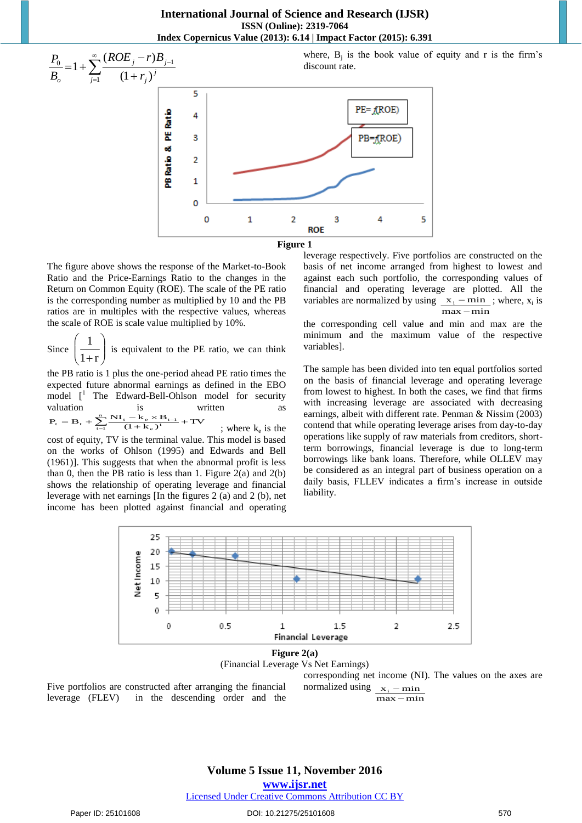**International Journal of Science and Research (IJSR) ISSN (Online): 2319-7064 Index Copernicus Value (2013): 6.14 | Impact Factor (2015): 6.391** 



The figure above shows the response of the Market-to-Book Ratio and the Price-Earnings Ratio to the changes in the Return on Common Equity (ROE). The scale of the PE ratio is the corresponding number as multiplied by 10 and the PB ratios are in multiples with the respective values, whereas the scale of ROE is scale value multiplied by 10%.

Since  $\left| \frac{1}{1+r} \right|$ J  $\setminus$  $\overline{\phantom{a}}$  $\setminus$ ſ  $1+r$  $\left( \frac{1}{1} \right)$  is equivalent to the PE ratio, we can think

the PB ratio is 1 plus the one-period ahead PE ratio times the expected future abnormal earnings as defined in the EBO model  $\begin{bmatrix} 1 \\ 1 \end{bmatrix}$  The Edward-Bell-Ohlson model for security valuation is written as  $P_t = B_t + \sum_{t=1}^{n} \frac{NI_t - k_e \times B_{t-1}}{(1 + k_e)^t} + TV$  $\sum_{t=1}^{\infty} \frac{1}{(1 + k_e)^t}$  $\sum_{t=1}^{n} \frac{N I_t - k_e \times B_{t-1}}{(1 + k_e)^t} +$ ; where  $k_e$  is the

cost of equity, TV is the terminal value. This model is based on the works of Ohlson (1995) and Edwards and Bell (1961)]. This suggests that when the abnormal profit is less than 0, then the PB ratio is less than 1. Figure  $2(a)$  and  $2(b)$ shows the relationship of operating leverage and financial leverage with net earnings [In the figures 2 (a) and 2 (b), net income has been plotted against financial and operating leverage respectively. Five portfolios are constructed on the basis of net income arranged from highest to lowest and against each such portfolio, the corresponding values of financial and operating leverage are plotted. All the variables are normalized by using  $x_i - \min$ ; where,  $x_i$  is  $max - min$ 

the corresponding cell value and min and max are the minimum and the maximum value of the respective variables].

The sample has been divided into ten equal portfolios sorted on the basis of financial leverage and operating leverage from lowest to highest. In both the cases, we find that firms with increasing leverage are associated with decreasing earnings, albeit with different rate. Penman & Nissim (2003) contend that while operating leverage arises from day-to-day operations like supply of raw materials from creditors, shortterm borrowings, financial leverage is due to long-term borrowings like bank loans. Therefore, while OLLEV may be considered as an integral part of business operation on a daily basis, FLLEV indicates a firm's increase in outside liability.





Five portfolios are constructed after arranging the financial leverage (FLEV) in the descending order and the corresponding net income (NI). The values on the axes are normalized using  $\mathbf{x}_i - \mathbf{min}$  $\frac{1}{\text{max} - \text{min}}$ 

**Volume 5 Issue 11, November 2016** 

**www.ijsr.net**

## Licensed Under Creative Commons Attribution CC BY

where,  $B_i$  is the book value of equity and r is the firm's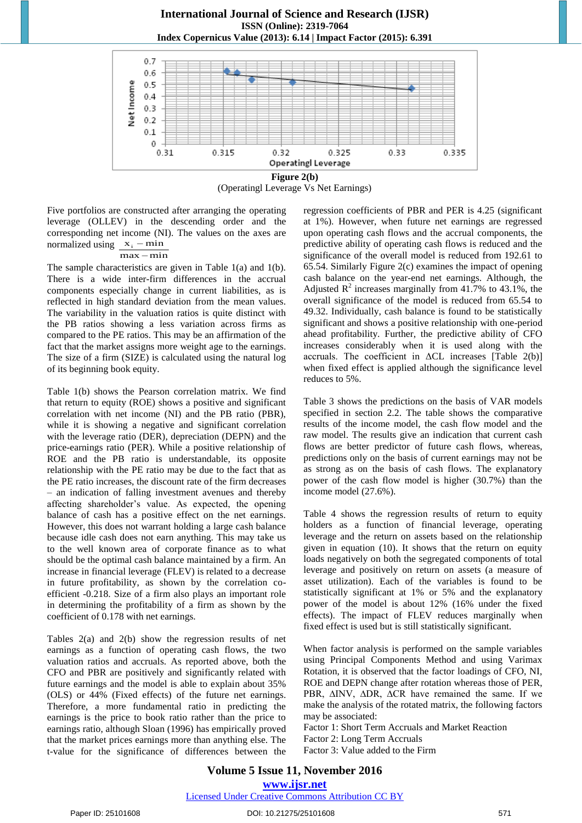

(Operatingl Leverage Vs Net Earnings)

Five portfolios are constructed after arranging the operating leverage (OLLEV) in the descending order and the corresponding net income (NI). The values on the axes are normalized using  $x_i - \min$ 

## $\frac{1}{\text{max} - \text{min}}$

The sample characteristics are given in Table 1(a) and 1(b). There is a wide inter-firm differences in the accrual components especially change in current liabilities, as is reflected in high standard deviation from the mean values. The variability in the valuation ratios is quite distinct with the PB ratios showing a less variation across firms as compared to the PE ratios. This may be an affirmation of the fact that the market assigns more weight age to the earnings. The size of a firm (SIZE) is calculated using the natural log of its beginning book equity.

Table 1(b) shows the Pearson correlation matrix. We find that return to equity (ROE) shows a positive and significant correlation with net income (NI) and the PB ratio (PBR), while it is showing a negative and significant correlation with the leverage ratio (DER), depreciation (DEPN) and the price-earnings ratio (PER). While a positive relationship of ROE and the PB ratio is understandable, its opposite relationship with the PE ratio may be due to the fact that as the PE ratio increases, the discount rate of the firm decreases – an indication of falling investment avenues and thereby affecting shareholder's value. As expected, the opening balance of cash has a positive effect on the net earnings. However, this does not warrant holding a large cash balance because idle cash does not earn anything. This may take us to the well known area of corporate finance as to what should be the optimal cash balance maintained by a firm. An increase in financial leverage (FLEV) is related to a decrease in future profitability, as shown by the correlation coefficient -0.218. Size of a firm also plays an important role in determining the profitability of a firm as shown by the coefficient of 0.178 with net earnings.

Tables 2(a) and 2(b) show the regression results of net earnings as a function of operating cash flows, the two valuation ratios and accruals. As reported above, both the CFO and PBR are positively and significantly related with future earnings and the model is able to explain about 35% (OLS) or 44% (Fixed effects) of the future net earnings. Therefore, a more fundamental ratio in predicting the earnings is the price to book ratio rather than the price to earnings ratio, although Sloan (1996) has empirically proved that the market prices earnings more than anything else. The t-value for the significance of differences between the

regression coefficients of PBR and PER is 4.25 (significant at 1%). However, when future net earnings are regressed upon operating cash flows and the accrual components, the predictive ability of operating cash flows is reduced and the significance of the overall model is reduced from 192.61 to 65.54. Similarly Figure 2(c) examines the impact of opening cash balance on the year-end net earnings. Although, the Adjusted  $R^2$  increases marginally from 41.7% to 43.1%, the overall significance of the model is reduced from 65.54 to 49.32. Individually, cash balance is found to be statistically significant and shows a positive relationship with one-period ahead profitability. Further, the predictive ability of CFO increases considerably when it is used along with the accruals. The coefficient in ΔCL increases [Table 2(b)] when fixed effect is applied although the significance level reduces to 5%.

Table 3 shows the predictions on the basis of VAR models specified in section 2.2. The table shows the comparative results of the income model, the cash flow model and the raw model. The results give an indication that current cash flows are better predictor of future cash flows, whereas, predictions only on the basis of current earnings may not be as strong as on the basis of cash flows. The explanatory power of the cash flow model is higher (30.7%) than the income model (27.6%).

Table 4 shows the regression results of return to equity holders as a function of financial leverage, operating leverage and the return on assets based on the relationship given in equation (10). It shows that the return on equity loads negatively on both the segregated components of total leverage and positively on return on assets (a measure of asset utilization). Each of the variables is found to be statistically significant at 1% or 5% and the explanatory power of the model is about 12% (16% under the fixed effects). The impact of FLEV reduces marginally when fixed effect is used but is still statistically significant.

When factor analysis is performed on the sample variables using Principal Components Method and using Varimax Rotation, it is observed that the factor loadings of CFO, NI, ROE and DEPN change after rotation whereas those of PER, PBR, ∆INV, ∆DR, ∆CR have remained the same. If we make the analysis of the rotated matrix, the following factors may be associated:

Factor 1: Short Term Accruals and Market Reaction Factor 2: Long Term Accruals Factor 3: Value added to the Firm

### **Volume 5 Issue 11, November 2016 www.ijsr.net** Licensed Under Creative Commons Attribution CC BY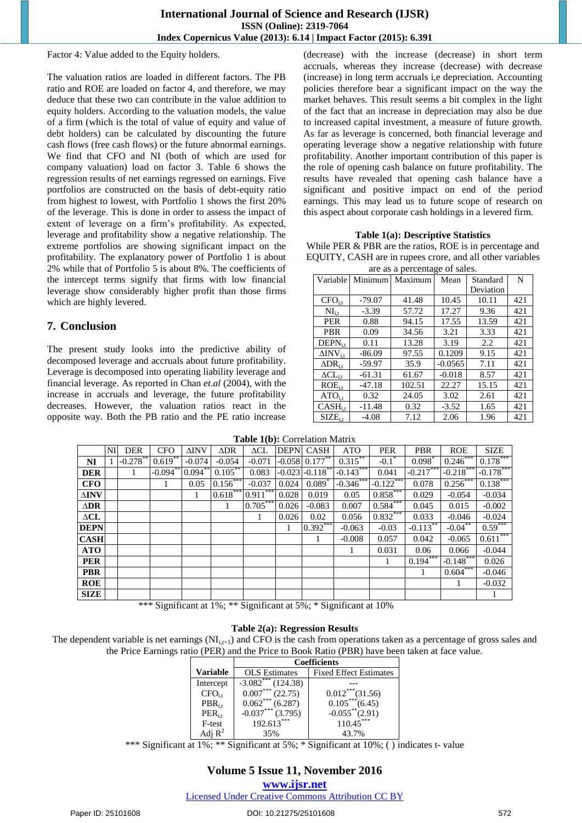Factor 4: Value added to the Equity holders.

The valuation ratios are loaded in different factors. The PB ratio and ROE are loaded on factor 4, and therefore, we may deduce that these two can contribute in the value addition to equity holders. According to the valuation models, the value of a firm (which is the total of value of equity and value of debt holders) can be calculated by discounting the future cash flows (free cash flows) or the future abnormal earnings. We find that CFO and NI (both of which are used for company valuation) load on factor 3. Table 6 shows the regression results of net earnings regressed on earnings. Five portfolios are constructed on the basis of debt-equity ratio from highest to lowest, with Portfolio 1 shows the first 20% of the leverage. This is done in order to assess the impact of extent of leverage on a firm's profitability. As expected, leverage and profitability show a negative relationship. The extreme portfolios are showing significant impact on the profitability. The explanatory power of Portfolio 1 is about 2% while that of Portfolio 5 is about 8%. The coefficients of the intercept terms signify that firms with low financial leverage show considerably higher profit than those firms which are highly levered.

# **7. Conclusion**

The present study looks into the predictive ability of decomposed leverage and accruals about future profitability. Leverage is decomposed into operating liability leverage and financial leverage. As reported in Chan *et.al* (2004), with the increase in accruals and leverage, the future profitability decreases. However, the valuation ratios react in the opposite way. Both the PB ratio and the PE ratio increase

(decrease) with the increase (decrease) in short term accruals, whereas they increase (decrease) with decrease (increase) in long term accruals i,e depreciation. Accounting policies therefore bear a significant impact on the way the market behaves. This result seems a bit complex in the light of the fact that an increase in depreciation may also be due to increased capital investment, a measure of future growth. As far as leverage is concerned, both financial leverage and operating leverage show a negative relationship with future profitability. Another important contribution of this paper is the role of opening cash balance on future profitability. The results have revealed that opening cash balance have a significant and positive impact on end of the period earnings. This may lead us to future scope of research on this aspect about corporate cash holdings in a levered firm.

#### **Table 1(a): Descriptive Statistics**

While PER & PBR are the ratios, ROE is in percentage and EQUITY, CASH are in rupees crore, and all other variables are as a percentage of sales.

| Variable                  | Minimum  | Maximum | Mean      | Standard<br>Deviation | N   |
|---------------------------|----------|---------|-----------|-----------------------|-----|
| $CFO$ <sub>i.t</sub>      | $-79.07$ | 41.48   | 10.45     | 10.11                 | 421 |
| $NI_{i.t.}$               | $-3.39$  | 57.72   | 17.27     | 9.36                  | 421 |
| <b>PER</b>                | 0.88     | 94.15   | 17.55     | 13.59                 | 421 |
| <b>PBR</b>                | 0.09     | 34.56   | 3.21      | 3.33                  | 421 |
| $DEPNit$                  | 0.11     | 13.28   | 3.19      | 2.2                   | 421 |
| $\Delta \text{INV}_{i,t}$ | $-86.09$ | 97.55   | 0.1209    | 9.15                  | 421 |
| $\Delta$ DR <sub>it</sub> | $-59.97$ | 35.9    | $-0.0565$ | 7.11                  | 421 |
| $\Delta CL_{i.t}$         | $-61.31$ | 61.67   | $-0.018$  | 8.57                  | 421 |
| ROE <sub>i.t</sub>        | -47.18   | 102.51  | 22.27     | 15.15                 | 421 |
| $ATO$ <sub>i.t</sub>      | 0.32     | 24.05   | 3.02      | 2.61                  | 421 |
| $CASH_{i}$                | $-11.48$ | 0.32    | $-3.52$   | 1.65                  | 421 |
| $SIZE_{i}$                | $-4.08$  | 7.12    | 2.06      | 1.96                  | 421 |

**Table 1(b):** Correlation Matrix

|                | NI | <b>DER</b>  | <b>CFO</b>                        | <b>ΔINV</b> | $\triangle$ DR | $\Delta CL$    |       | <b>DEPNI CASH</b>                                       | <b>ATO</b>     | <b>PER</b>               | <b>PBR</b>  | <b>ROE</b>   | <b>SIZE</b> |
|----------------|----|-------------|-----------------------------------|-------------|----------------|----------------|-------|---------------------------------------------------------|----------------|--------------------------|-------------|--------------|-------------|
| NI             |    | $-0.278$ ** | $0.619$ **                        | $-0.074$    | $-0.054$       | $-0.071$       |       | $-0.058$ 0.177 <sup>**</sup>                            | $0.315***$     | $-0.1$ <sup>*</sup>      | $0.098*$    | $0.246***$   | $0.178***$  |
| <b>DER</b>     |    | 1           | $-0.094$ **                       | $0.094***$  | $0.105***$     | 0.083          |       | $-0.023 - 0.118$ **                                     | $-0.143***$    | 0.041                    | $-0.217***$ | $-0.218$ *** | $-0.178***$ |
| <b>CFO</b>     |    |             | 1                                 | 0.05        | $0.156***$     | $-0.037$       | 0.024 | $0.089*$                                                | $-0.346$ ***   | $-0.122***$              | 0.078       | $0.256***$   | $0.138***$  |
| $\Delta$ INV   |    |             |                                   | 1           | $0.618***$     | $0.911***$     | 0.028 | 0.019                                                   | 0.05           | $0.858***$               | 0.029       | $-0.054$     | $-0.034$    |
| $\triangle$ DR |    |             |                                   |             | $\mathbf{1}$   | $0.705***$     | 0.026 | $-0.083$                                                | 0.007          | $0.584***$               | 0.045       | 0.015        | $-0.002$    |
| $\Delta CL$    |    |             |                                   |             |                | 1              | 0.026 | 0.02                                                    | 0.056          | $0.832***$               | 0.033       | $-0.046$     | $-0.024$    |
| <b>DEPN</b>    |    |             |                                   |             |                |                | 1     | $0.392***$                                              | $-0.063$       | $-0.03$                  | $-0.113***$ | $-0.04***$   | $0.59***$   |
| <b>CASH</b>    |    |             |                                   |             |                |                |       | 1                                                       | $-0.008$       | 0.057                    | 0.042       | $-0.065$     | $0.611***$  |
| <b>ATO</b>     |    |             |                                   |             |                |                |       |                                                         |                | 0.031                    | 0.06        | 0.066        | $-0.044$    |
| <b>PER</b>     |    |             |                                   |             |                |                |       |                                                         |                | 1                        | $0.194***$  | $-0.148$ *** | 0.026       |
| <b>PBR</b>     |    |             |                                   |             |                |                |       |                                                         |                |                          |             | $0.604***$   | $-0.046$    |
| <b>ROE</b>     |    |             |                                   |             |                |                |       |                                                         |                |                          |             | 1            | $-0.032$    |
| <b>SIZE</b>    |    |             |                                   |             |                |                |       |                                                         |                |                          |             |              |             |
|                |    |             | $\cdot$ $\sim$<br>1.1.1.1.1.71.71 |             |                | $\cdot$ $\sim$ |       | $\sim$ $\sim$ $\sim$ $\sim$ $\sim$ $\sim$ $\sim$ $\sim$ | $\cdot$ $\sim$ | $\overline{\phantom{a}}$ |             |              |             |

\*\*\* Significant at 1%; \*\* Significant at 5%; \* Significant at 10%

## **Table 2(a): Regression Results**

The dependent variable is net earnings  $(N<sub>i,t+1</sub>)$  and CFO is the cash from operations taken as a percentage of gross sales and the Price Earnings ratio (PER) and the Price to Book Ratio (PBR) have been taken at face value.

|           | <b>Coefficients</b>  |                               |  |  |
|-----------|----------------------|-------------------------------|--|--|
| Variable  | <b>OLS</b> Estimates | <b>Fixed Effect Estimates</b> |  |  |
| Intercept | $-3.082***$ (124.38) |                               |  |  |
| $CFO_{i}$ | $0.007***$ (22.75)   | $0.012***(31.56)$             |  |  |
| $PBR_{i}$ | $0.062***$ (6.287)   | $0.105***(6.45)$              |  |  |
| $PER_{i}$ | $-0.037***$ (3.795)  | $-0.055$ **(2.91)             |  |  |
| F-test    | $192.613***$         | $110.45***$                   |  |  |
|           | 35%                  | 43.7%                         |  |  |

\*\*\* Significant at 1%; \*\* Significant at 5%; \* Significant at 10%; ( ) indicates t- value

# **Volume 5 Issue 11, November 2016**

**www.ijsr.net**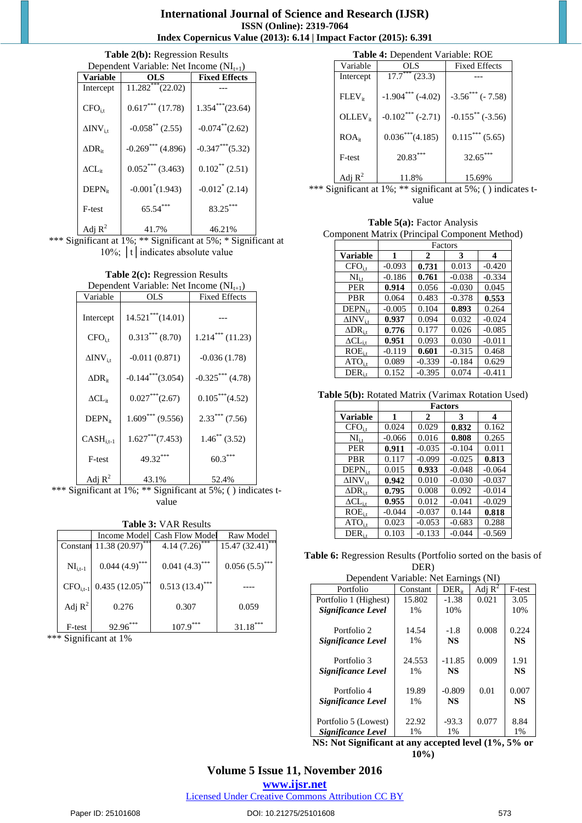#### **International Journal of Science and Research (IJSR) ISSN (Online): 2319-7064 Index Copernicus Value (2013): 6.14 | Impact Factor (2015): 6.391**

#### **Table 2(b):** Regression Results

|                               | Dependent Variable: Net Income $(NI_{t+1})$ |                      |  |  |  |  |
|-------------------------------|---------------------------------------------|----------------------|--|--|--|--|
| Variable                      | OLS                                         | <b>Fixed Effects</b> |  |  |  |  |
| Intercept                     | $11.282$ <sup>***</sup> $(22.02)$           |                      |  |  |  |  |
| $CFO$ <sub>i.t</sub>          | $0.617***(17.78)$                           | $1.354***(23.64)$    |  |  |  |  |
| $\Delta$ INV <sub>it</sub>    | $-0.058^{**}$ (2.55)                        | $-0.074$ ** $(2.62)$ |  |  |  |  |
| $\Delta\text{DR}_{\text{ir}}$ | $-0.269$ *** (4.896)                        | $-0.347***$ (5.32)   |  |  |  |  |
| $\Delta\rm CL_{ir}$           | $0.052***$ (3.463)                          | $0.102^{**}$ (2.51)  |  |  |  |  |
| $DEPN_{it}$                   | $-0.001^*(1.943)$                           | $-0.012^*(2.14)$     |  |  |  |  |
| F-test                        | $65.54***$                                  | 83.25***             |  |  |  |  |
| Adj $R^2$                     | 41.7%                                       | 46.21%               |  |  |  |  |

\*\*\* Significant at 1%; \*\* Significant at 5%; \* Significant at 10%; | t | indicates absolute value

**Table 2(c):** Regression Results

| Dependent Variable: Net Income $(NI_{t+1})$ |                     |                      |  |  |
|---------------------------------------------|---------------------|----------------------|--|--|
| Variable                                    | OLS                 | <b>Fixed Effects</b> |  |  |
| Intercept                                   | $14.521***(14.01)$  |                      |  |  |
| $CFO$ <sub>i.t</sub>                        | $0.313***$ (8.70)   | $1.214***(11.23)$    |  |  |
| $\Delta \text{INV}_{i.t}$                   | $-0.011(0.871)$     | $-0.036(1.78)$       |  |  |
| $\Delta\text{DR}_{\text{ir}}$               | $-0.144***$ (3.054) | $-0.325***$ (4.78)   |  |  |
| $\Delta\rm CL_{ir}$                         | $0.027***$ (2.67)   | $0.105***(4.52)$     |  |  |
| $DEPN_{it}$                                 | $1.609***$ (9.556)  | $2.33***$ (7.56)     |  |  |
| $CASH_{i.t-1}$                              | $1.627***$ (7.453)  | $1.46^*$ (3.52)      |  |  |
| F-test                                      | 49.32***            | $60.3***$            |  |  |
| Adj $R^2$                                   | 43.1%               | 52.4%                |  |  |

\*\*\* Significant at 1%; \*\* Significant at 5%; () indicates tvalue

| <b>Table 3: VAR Results</b> |  |
|-----------------------------|--|
|-----------------------------|--|

|              | Income Model                | Cash Flow Model             | Raw Model                        |
|--------------|-----------------------------|-----------------------------|----------------------------------|
| Constant     | $11.38(20.97)$ ***          | 4.14(7.26)                  | $15.47 \overline{(32.41)}^{***}$ |
| $NI_{i,t-1}$ | $0.044(4.9)$ <sup>***</sup> | $0.041(4.3)$ <sup>***</sup> | $0.056(5.5)$ ***                 |
| $CFOi,t-1$   | $0.435(12.05)$ ***          | $0.513(13.4)$ ***           |                                  |
| Adj $R^2$    | 0.276                       | 0.307                       | 0.059                            |
| F-test       | $92.96***$                  | $107.9***$                  | $31.18***$                       |

\*\*\* Significant at 1%

| <b>Table 4:</b> Dependent Variable: ROE |                     |                        |  |  |
|-----------------------------------------|---------------------|------------------------|--|--|
| Variable                                | OL S                | <b>Fixed Effects</b>   |  |  |
| Intercept                               | $17.7***$ (23.3)    |                        |  |  |
| $FLEV_{it}$                             | $-1.904***$ (-4.02) | $-3.56***$ ( $-7.58$ ) |  |  |
| $OLLEV_{it}$                            | $-0.102***(-2.71)$  | $-0.155$ ** (-3.56)    |  |  |
| ROA <sub>ir</sub>                       | $0.036***$ (4.185)  | $0.115***(5.65)$       |  |  |
| F-test                                  | $20.83***$          | $32.65***$             |  |  |
| Adj $R^2$                               | 11.8%               | 15.69%                 |  |  |

\*\*\* Significant at 1%; \*\* significant at 5%; ( ) indicates tvalue

**Table 5(a):** Factor Analysis

Component Matrix (Principal Component Method)

|                             | Factors  |          |          |          |  |
|-----------------------------|----------|----------|----------|----------|--|
| <b>Variable</b>             | 1        | 2        | 3        | 4        |  |
| $CFO$ <sub>i,t</sub>        | $-0.093$ | 0.731    | 0.013    | $-0.420$ |  |
| $NI_{i,t}$                  | $-0.186$ | 0.761    | $-0.038$ | $-0.334$ |  |
| <b>PER</b>                  | 0.914    | 0.056    | $-0.030$ | 0.045    |  |
| PBR                         | 0.064    | 0.483    | $-0.378$ | 0.553    |  |
| $DEPNit$                    | $-0.005$ | 0.104    | 0.893    | 0.264    |  |
| $\Delta$ INV <sub>i.t</sub> | 0.937    | 0.094    | 0.032    | $-0.024$ |  |
| $\Delta$ DR <sub>it</sub>   | 0.776    | 0.177    | 0.026    | $-0.085$ |  |
| $\Delta CL_{\rm i.t.}$      | 0.951    | 0.093    | 0.030    | $-0.011$ |  |
| $ROE_{i.t}$                 | $-0.119$ | 0.601    | $-0.315$ | 0.468    |  |
| $ATO$ <sub>i.t</sub>        | 0.089    | $-0.339$ | $-0.184$ | 0.629    |  |
| $DER_{i.t}$                 | 0.152    | $-0.395$ | 0.074    | $-0.411$ |  |

**Table 5(b):** Rotated Matrix (Varimax Rotation Used)

|                             | <b>Factors</b> |              |          |                  |  |  |
|-----------------------------|----------------|--------------|----------|------------------|--|--|
| <b>Variable</b>             | 1              | $\mathbf{2}$ | 3        | $\boldsymbol{4}$ |  |  |
| $CFO$ <sub>i.t</sub>        | 0.024          | 0.029        | 0.832    | 0.162            |  |  |
| $NI_{i,t}$                  | $-0.066$       | 0.016        | 0.808    | 0.265            |  |  |
| <b>PER</b>                  | 0.911          | $-0.035$     | $-0.104$ | 0.011            |  |  |
| <b>PBR</b>                  | 0.117          | $-0.099$     | $-0.025$ | 0.813            |  |  |
| $DEPNit$                    | 0.015          | 0.933        | $-0.048$ | $-0.064$         |  |  |
| $\Delta$ INV <sub>i.t</sub> | 0.942          | 0.010        | $-0.030$ | $-0.037$         |  |  |
| $\Delta$ DR <sub>it</sub>   | 0.795          | 0.008        | 0.092    | $-0.014$         |  |  |
| $\Delta CL_{i,t}$           | 0.955          | 0.012        | $-0.041$ | $-0.029$         |  |  |
| $ROE_{i.t}$                 | $-0.044$       | $-0.037$     | 0.144    | 0.818            |  |  |
| $ATO$ <sub>i.t</sub>        | 0.023          | $-0.053$     | $-0.683$ | 0.288            |  |  |
| $DER_{i.t}$                 | 0.103          | $-0.133$     | $-0.044$ | $-0.569$         |  |  |

**Table 6:** Regression Results (Portfolio sorted on the basis of DER)

| Dependent Variable: Net Earnings (NI) |          |            |           |           |  |
|---------------------------------------|----------|------------|-----------|-----------|--|
| Portfolio                             | Constant | $DER_{it}$ | Adj $R^2$ | F-test    |  |
| Portfolio 1 (Highest)                 | 15.802   | $-1.38$    | 0.021     | 3.05      |  |
| Significance Level                    | $1\%$    | 10%        |           | 10%       |  |
|                                       |          |            |           |           |  |
| Portfolio 2                           | 14.54    | $-1.8$     | 0.008     | 0.224     |  |
| Significance Level                    | $1\%$    | <b>NS</b>  |           | <b>NS</b> |  |
|                                       |          |            |           |           |  |
| Portfolio 3                           | 24.553   | $-11.85$   | 0.009     | 1.91      |  |
| Significance Level                    | 1%       | <b>NS</b>  |           | <b>NS</b> |  |
|                                       |          |            |           |           |  |
| Portfolio 4                           | 19.89    | $-0.809$   | 0.01      | 0.007     |  |
| Significance Level                    | $1\%$    | <b>NS</b>  |           | <b>NS</b> |  |
|                                       |          |            |           |           |  |
| Portfolio 5 (Lowest)                  | 22.92    | $-93.3$    | 0.077     | 8.84      |  |
| Significance Level                    | 1%       | 1%         |           | $1\%$     |  |

**NS: Not Significant at any accepted level (1%, 5% or 10%)** 

# **Volume 5 Issue 11, November 2016**

**www.ijsr.net**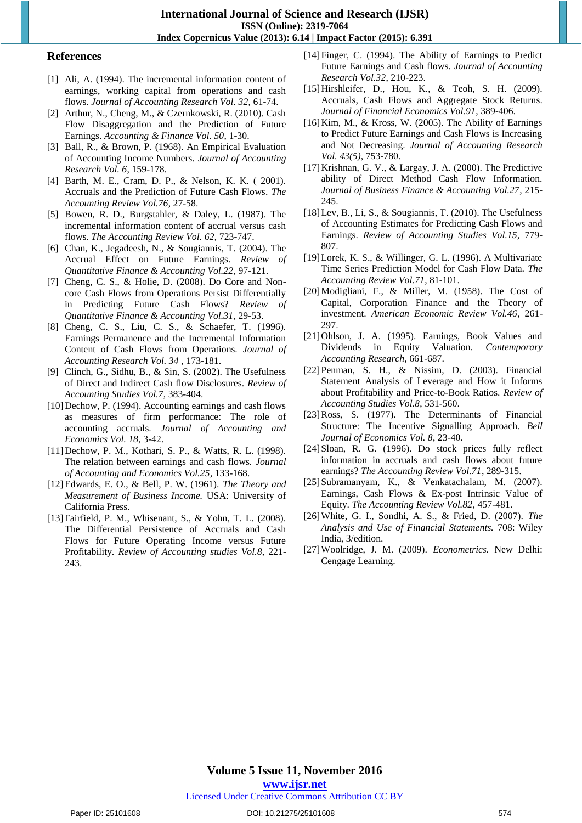**International Journal of Science and Research (IJSR) ISSN (Online): 2319-7064 Index Copernicus Value (2013): 6.14 | Impact Factor (2015): 6.391** 

#### **References**

- [1] Ali, A. (1994). The incremental information content of earnings, working capital from operations and cash flows. *Journal of Accounting Research Vol. 32*, 61-74.
- [2] Arthur, N., Cheng, M., & Czernkowski, R. (2010). Cash Flow Disaggregation and the Prediction of Future Earnings. *Accounting & Finance Vol. 50*, 1-30.
- [3] Ball, R., & Brown, P. (1968). An Empirical Evaluation of Accounting Income Numbers. *Journal of Accounting Research Vol. 6*, 159-178.
- [4] Barth, M. E., Cram, D. P., & Nelson, K. K. ( 2001). Accruals and the Prediction of Future Cash Flows. *The Accounting Review Vol.76*, 27-58.
- [5] Bowen, R. D., Burgstahler, & Daley, L. (1987). The incremental information content of accrual versus cash flows. *The Accounting Review Vol. 62*, 723-747.
- [6] Chan, K., Jegadeesh, N., & Sougiannis, T. (2004). The Accrual Effect on Future Earnings. *Review of Quantitative Finance & Accounting Vol.22*, 97-121.
- [7] Cheng, C. S., & Holie, D. (2008). Do Core and Noncore Cash Flows from Operations Persist Differentially in Predicting Future Cash Flows? *Review of Quantitative Finance & Accounting Vol.31*, 29-53.
- [8] Cheng, C. S., Liu, C. S., & Schaefer, T. (1996). Earnings Permanence and the Incremental Information Content of Cash Flows from Operations. *Journal of Accounting Research Vol. 34* , 173-181.
- [9] Clinch, G., Sidhu, B., & Sin, S. (2002). The Usefulness of Direct and Indirect Cash flow Disclosures. *Review of Accounting Studies Vol.7*, 383-404.
- [10] Dechow, P. (1994). Accounting earnings and cash flows as measures of firm performance: The role of accounting accruals. *Journal of Accounting and Economics Vol. 18*, 3-42.
- [11]Dechow, P. M., Kothari, S. P., & Watts, R. L. (1998). The relation between earnings and cash flows. *Journal of Accounting and Economics Vol.25*, 133-168.
- [12]Edwards, E. O., & Bell, P. W. (1961). *The Theory and Measurement of Business Income.* USA: University of California Press.
- [13] Fairfield, P. M., Whisenant, S., & Yohn, T. L. (2008). The Differential Persistence of Accruals and Cash Flows for Future Operating Income versus Future Profitability. *Review of Accounting studies Vol.8*, 221- 243.
- [14] Finger, C. (1994). The Ability of Earnings to Predict Future Earnings and Cash flows. *Journal of Accounting Research Vol.32*, 210-223.
- [15]Hirshleifer, D., Hou, K., & Teoh, S. H. (2009). Accruals, Cash Flows and Aggregate Stock Returns. *Journal of Financial Economics Vol.91*, 389-406.
- [16]Kim, M., & Kross, W. (2005). The Ability of Earnings to Predict Future Earnings and Cash Flows is Increasing and Not Decreasing. *Journal of Accounting Research Vol. 43(5)*, 753-780.
- [17]Krishnan, G. V., & Largay, J. A. (2000). The Predictive ability of Direct Method Cash Flow Information. *Journal of Business Finance & Accounting Vol.27*, 215- 245.
- [18]Lev, B., Li, S., & Sougiannis, T. (2010). The Usefulness of Accounting Estimates for Predicting Cash Flows and Earnings. *Review of Accounting Studies Vol.15*, 779- 807.
- [19]Lorek, K. S., & Willinger, G. L. (1996). A Multivariate Time Series Prediction Model for Cash Flow Data. *The Accounting Review Vol.71*, 81-101.
- [20]Modigliani, F., & Miller, M. (1958). The Cost of Capital, Corporation Finance and the Theory of investment. *American Economic Review Vol.46*, 261- 297.
- [21]Ohlson, J. A. (1995). Earnings, Book Values and Dividends in Equity Valuation. *Contemporary Accounting Research*, 661-687.
- [22]Penman, S. H., & Nissim, D. (2003). Financial Statement Analysis of Leverage and How it Informs about Profitability and Price-to-Book Ratios. *Review of Accounting Studies Vol.8*, 531-560.
- [23]Ross, S. (1977). The Determinants of Financial Structure: The Incentive Signalling Approach. *Bell Journal of Economics Vol. 8*, 23-40.
- [24]Sloan, R. G. (1996). Do stock prices fully reflect information in accruals and cash flows about future earnings? *The Accounting Review Vol.71*, 289-315.
- [25]Subramanyam, K., & Venkatachalam, M. (2007). Earnings, Cash Flows & Ex-post Intrinsic Value of Equity. *The Accounting Review Vol.82*, 457-481.
- [26]White, G. I., Sondhi, A. S., & Fried, D. (2007). *The Analysis and Use of Financial Statements.* 708: Wiley India, 3/edition.
- [27]Woolridge, J. M. (2009). *Econometrics.* New Delhi: Cengage Learning.